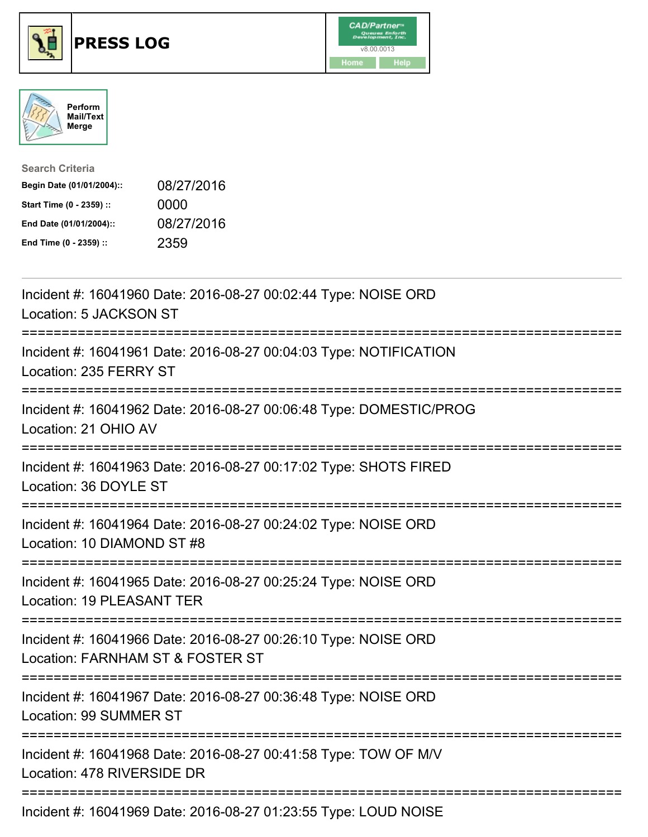





| <b>Search Criteria</b>    |            |
|---------------------------|------------|
| Begin Date (01/01/2004):: | 08/27/2016 |
| Start Time (0 - 2359) ::  | 0000       |
| End Date (01/01/2004)::   | 08/27/2016 |
| End Time (0 - 2359) ::    | 2359       |

| Incident #: 16041960 Date: 2016-08-27 00:02:44 Type: NOISE ORD<br>Location: 5 JACKSON ST                                                                            |
|---------------------------------------------------------------------------------------------------------------------------------------------------------------------|
| Incident #: 16041961 Date: 2016-08-27 00:04:03 Type: NOTIFICATION<br>Location: 235 FERRY ST                                                                         |
| Incident #: 16041962 Date: 2016-08-27 00:06:48 Type: DOMESTIC/PROG<br>Location: 21 OHIO AV                                                                          |
| Incident #: 16041963 Date: 2016-08-27 00:17:02 Type: SHOTS FIRED<br>Location: 36 DOYLE ST                                                                           |
| Incident #: 16041964 Date: 2016-08-27 00:24:02 Type: NOISE ORD<br>Location: 10 DIAMOND ST #8                                                                        |
| Incident #: 16041965 Date: 2016-08-27 00:25:24 Type: NOISE ORD<br><b>Location: 19 PLEASANT TER</b>                                                                  |
| Incident #: 16041966 Date: 2016-08-27 00:26:10 Type: NOISE ORD<br>Location: FARNHAM ST & FOSTER ST<br>==========================<br>------------------------------- |
| Incident #: 16041967 Date: 2016-08-27 00:36:48 Type: NOISE ORD<br>Location: 99 SUMMER ST                                                                            |
| Incident #: 16041968 Date: 2016-08-27 00:41:58 Type: TOW OF M/V<br>Location: 478 RIVERSIDE DR                                                                       |
| Incident #: 16041969 Date: 2016-08-27 01:23:55 Type: LOUD NOISE                                                                                                     |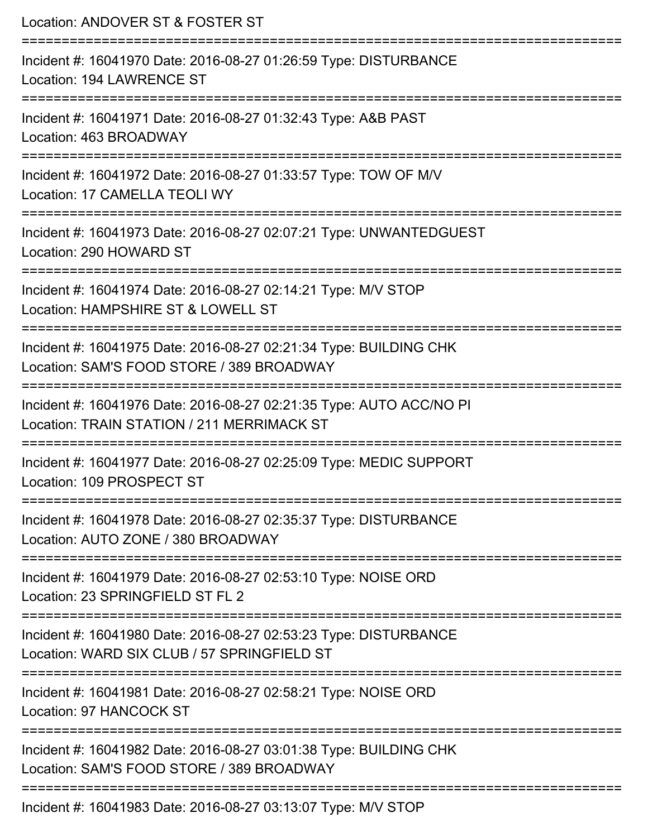| Location: ANDOVER ST & FOSTER ST                                                                                                                                               |
|--------------------------------------------------------------------------------------------------------------------------------------------------------------------------------|
| Incident #: 16041970 Date: 2016-08-27 01:26:59 Type: DISTURBANCE<br>Location: 194 LAWRENCE ST                                                                                  |
| Incident #: 16041971 Date: 2016-08-27 01:32:43 Type: A&B PAST<br>Location: 463 BROADWAY                                                                                        |
| Incident #: 16041972 Date: 2016-08-27 01:33:57 Type: TOW OF M/V<br>Location: 17 CAMELLA TEOLI WY<br>---------------------                                                      |
| Incident #: 16041973 Date: 2016-08-27 02:07:21 Type: UNWANTEDGUEST<br>Location: 290 HOWARD ST                                                                                  |
| Incident #: 16041974 Date: 2016-08-27 02:14:21 Type: M/V STOP<br>Location: HAMPSHIRE ST & LOWELL ST                                                                            |
| Incident #: 16041975 Date: 2016-08-27 02:21:34 Type: BUILDING CHK<br>Location: SAM'S FOOD STORE / 389 BROADWAY                                                                 |
| Incident #: 16041976 Date: 2016-08-27 02:21:35 Type: AUTO ACC/NO PI<br>Location: TRAIN STATION / 211 MERRIMACK ST<br>===================================<br>================== |
| Incident #: 16041977 Date: 2016-08-27 02:25:09 Type: MEDIC SUPPORT<br>Location: 109 PROSPECT ST                                                                                |
| Incident #: 16041978 Date: 2016-08-27 02:35:37 Type: DISTURBANCE<br>Location: AUTO ZONE / 380 BROADWAY                                                                         |
| Incident #: 16041979 Date: 2016-08-27 02:53:10 Type: NOISE ORD<br>Location: 23 SPRINGFIELD ST FL 2                                                                             |
| Incident #: 16041980 Date: 2016-08-27 02:53:23 Type: DISTURBANCE<br>Location: WARD SIX CLUB / 57 SPRINGFIELD ST                                                                |
| Incident #: 16041981 Date: 2016-08-27 02:58:21 Type: NOISE ORD<br>Location: 97 HANCOCK ST                                                                                      |
| Incident #: 16041982 Date: 2016-08-27 03:01:38 Type: BUILDING CHK<br>Location: SAM'S FOOD STORE / 389 BROADWAY                                                                 |
| Incident #: 16041983 Date: 2016-08-27 03:13:07 Type: M/V STOP                                                                                                                  |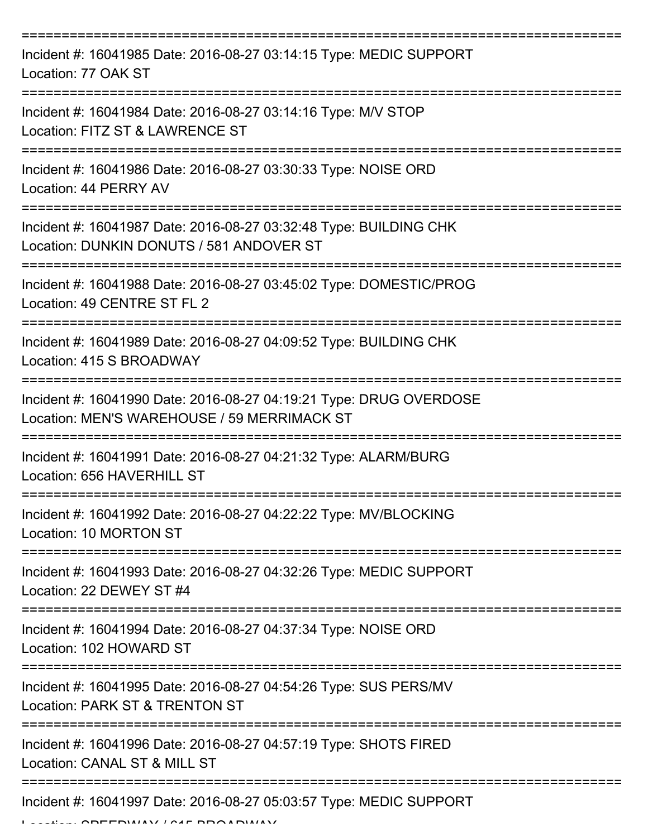| Incident #: 16041985 Date: 2016-08-27 03:14:15 Type: MEDIC SUPPORT<br>Location: 77 OAK ST                         |
|-------------------------------------------------------------------------------------------------------------------|
| Incident #: 16041984 Date: 2016-08-27 03:14:16 Type: M/V STOP<br>Location: FITZ ST & LAWRENCE ST                  |
| Incident #: 16041986 Date: 2016-08-27 03:30:33 Type: NOISE ORD<br>Location: 44 PERRY AV                           |
| Incident #: 16041987 Date: 2016-08-27 03:32:48 Type: BUILDING CHK<br>Location: DUNKIN DONUTS / 581 ANDOVER ST     |
| Incident #: 16041988 Date: 2016-08-27 03:45:02 Type: DOMESTIC/PROG<br>Location: 49 CENTRE ST FL 2                 |
| Incident #: 16041989 Date: 2016-08-27 04:09:52 Type: BUILDING CHK<br>Location: 415 S BROADWAY                     |
| Incident #: 16041990 Date: 2016-08-27 04:19:21 Type: DRUG OVERDOSE<br>Location: MEN'S WAREHOUSE / 59 MERRIMACK ST |
| Incident #: 16041991 Date: 2016-08-27 04:21:32 Type: ALARM/BURG<br>Location: 656 HAVERHILL ST                     |
| Incident #: 16041992 Date: 2016-08-27 04:22:22 Type: MV/BLOCKING<br>Location: 10 MORTON ST                        |
| Incident #: 16041993 Date: 2016-08-27 04:32:26 Type: MEDIC SUPPORT<br>Location: 22 DEWEY ST #4                    |
| Incident #: 16041994 Date: 2016-08-27 04:37:34 Type: NOISE ORD<br>Location: 102 HOWARD ST                         |
| Incident #: 16041995 Date: 2016-08-27 04:54:26 Type: SUS PERS/MV<br>Location: PARK ST & TRENTON ST                |
| Incident #: 16041996 Date: 2016-08-27 04:57:19 Type: SHOTS FIRED<br>Location: CANAL ST & MILL ST                  |
| Incident #: 16041997 Date: 2016-08-27 05:03:57 Type: MEDIC SUPPORT                                                |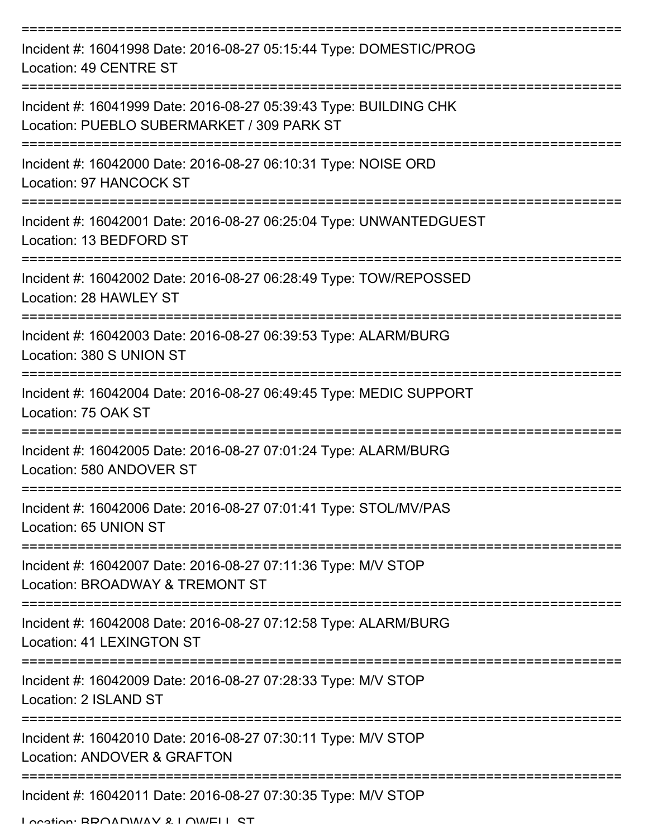| Incident #: 16041998 Date: 2016-08-27 05:15:44 Type: DOMESTIC/PROG<br>Location: 49 CENTRE ST                    |
|-----------------------------------------------------------------------------------------------------------------|
| Incident #: 16041999 Date: 2016-08-27 05:39:43 Type: BUILDING CHK<br>Location: PUEBLO SUBERMARKET / 309 PARK ST |
| Incident #: 16042000 Date: 2016-08-27 06:10:31 Type: NOISE ORD<br>Location: 97 HANCOCK ST                       |
| Incident #: 16042001 Date: 2016-08-27 06:25:04 Type: UNWANTEDGUEST<br>Location: 13 BEDFORD ST                   |
| Incident #: 16042002 Date: 2016-08-27 06:28:49 Type: TOW/REPOSSED<br>Location: 28 HAWLEY ST                     |
| Incident #: 16042003 Date: 2016-08-27 06:39:53 Type: ALARM/BURG<br>Location: 380 S UNION ST                     |
| Incident #: 16042004 Date: 2016-08-27 06:49:45 Type: MEDIC SUPPORT<br>Location: 75 OAK ST                       |
| Incident #: 16042005 Date: 2016-08-27 07:01:24 Type: ALARM/BURG<br>Location: 580 ANDOVER ST                     |
| Incident #: 16042006 Date: 2016-08-27 07:01:41 Type: STOL/MV/PAS<br>Location: 65 UNION ST                       |
| Incident #: 16042007 Date: 2016-08-27 07:11:36 Type: M/V STOP<br>Location: BROADWAY & TREMONT ST                |
| Incident #: 16042008 Date: 2016-08-27 07:12:58 Type: ALARM/BURG<br>Location: 41 LEXINGTON ST                    |
| Incident #: 16042009 Date: 2016-08-27 07:28:33 Type: M/V STOP<br>Location: 2 ISLAND ST                          |
| Incident #: 16042010 Date: 2016-08-27 07:30:11 Type: M/V STOP<br>Location: ANDOVER & GRAFTON                    |
| Incident #: 16042011 Date: 2016-08-27 07:30:35 Type: M/V STOP                                                   |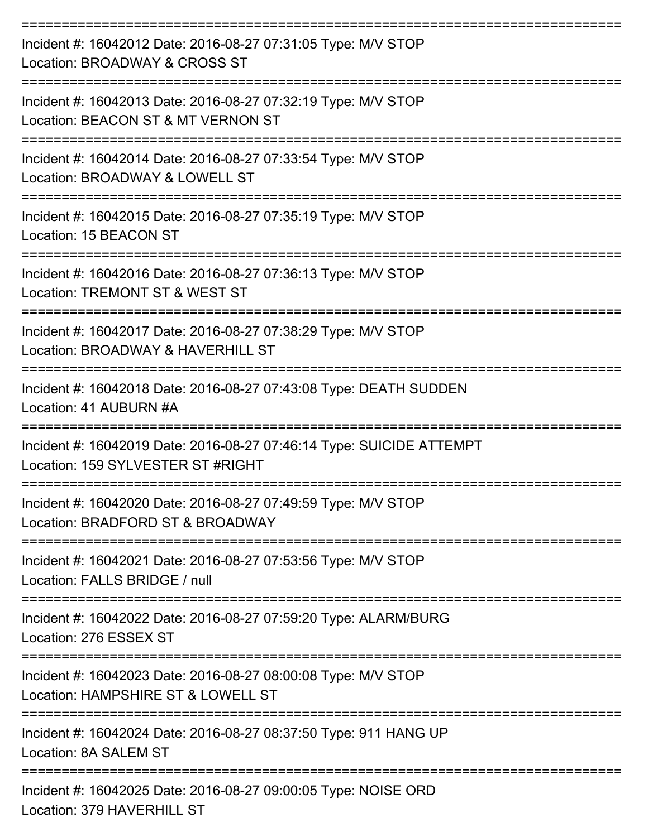| Incident #: 16042012 Date: 2016-08-27 07:31:05 Type: M/V STOP<br>Location: BROADWAY & CROSS ST                                |
|-------------------------------------------------------------------------------------------------------------------------------|
| Incident #: 16042013 Date: 2016-08-27 07:32:19 Type: M/V STOP<br>Location: BEACON ST & MT VERNON ST                           |
| Incident #: 16042014 Date: 2016-08-27 07:33:54 Type: M/V STOP<br>Location: BROADWAY & LOWELL ST                               |
| Incident #: 16042015 Date: 2016-08-27 07:35:19 Type: M/V STOP<br>Location: 15 BEACON ST                                       |
| ==========================<br>Incident #: 16042016 Date: 2016-08-27 07:36:13 Type: M/V STOP<br>Location: TREMONT ST & WEST ST |
| Incident #: 16042017 Date: 2016-08-27 07:38:29 Type: M/V STOP<br>Location: BROADWAY & HAVERHILL ST                            |
| Incident #: 16042018 Date: 2016-08-27 07:43:08 Type: DEATH SUDDEN<br>Location: 41 AUBURN #A                                   |
| Incident #: 16042019 Date: 2016-08-27 07:46:14 Type: SUICIDE ATTEMPT<br>Location: 159 SYLVESTER ST #RIGHT                     |
| Incident #: 16042020 Date: 2016-08-27 07:49:59 Type: M/V STOP<br>Location: BRADFORD ST & BROADWAY                             |
| Incident #: 16042021 Date: 2016-08-27 07:53:56 Type: M/V STOP<br>Location: FALLS BRIDGE / null                                |
| Incident #: 16042022 Date: 2016-08-27 07:59:20 Type: ALARM/BURG<br>Location: 276 ESSEX ST                                     |
| Incident #: 16042023 Date: 2016-08-27 08:00:08 Type: M/V STOP<br>Location: HAMPSHIRE ST & LOWELL ST                           |
| Incident #: 16042024 Date: 2016-08-27 08:37:50 Type: 911 HANG UP<br>Location: 8A SALEM ST                                     |
| Incident #: 16042025 Date: 2016-08-27 09:00:05 Type: NOISE ORD<br>Location: 379 HAVERHILL ST                                  |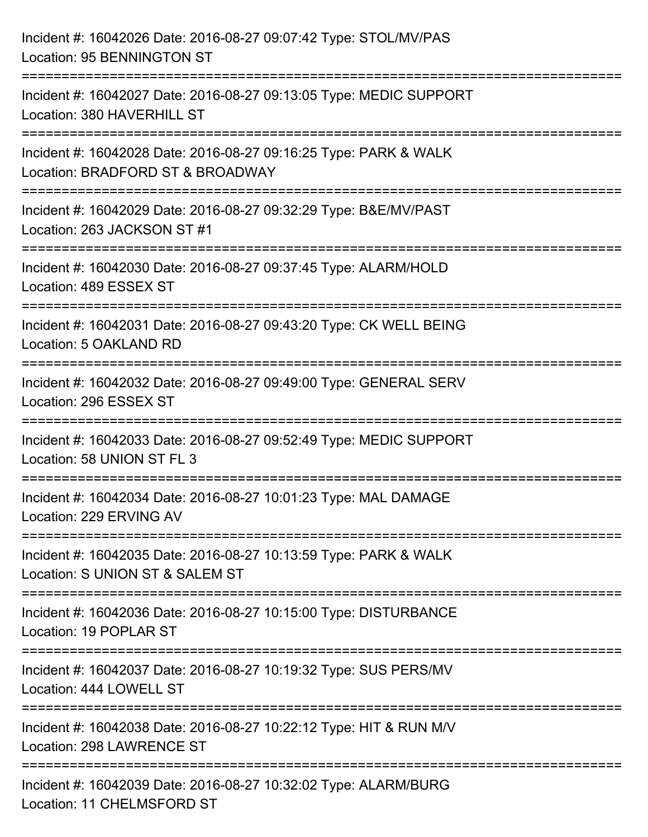| Incident #: 16042026 Date: 2016-08-27 09:07:42 Type: STOL/MV/PAS<br>Location: 95 BENNINGTON ST                                           |
|------------------------------------------------------------------------------------------------------------------------------------------|
| Incident #: 16042027 Date: 2016-08-27 09:13:05 Type: MEDIC SUPPORT<br>Location: 380 HAVERHILL ST<br>------------------------------------ |
| Incident #: 16042028 Date: 2016-08-27 09:16:25 Type: PARK & WALK<br>Location: BRADFORD ST & BROADWAY                                     |
| Incident #: 16042029 Date: 2016-08-27 09:32:29 Type: B&E/MV/PAST<br>Location: 263 JACKSON ST #1                                          |
| Incident #: 16042030 Date: 2016-08-27 09:37:45 Type: ALARM/HOLD<br>Location: 489 ESSEX ST                                                |
| Incident #: 16042031 Date: 2016-08-27 09:43:20 Type: CK WELL BEING<br>Location: 5 OAKLAND RD                                             |
| Incident #: 16042032 Date: 2016-08-27 09:49:00 Type: GENERAL SERV<br>Location: 296 ESSEX ST                                              |
| Incident #: 16042033 Date: 2016-08-27 09:52:49 Type: MEDIC SUPPORT<br>Location: 58 UNION ST FL 3                                         |
| Incident #: 16042034 Date: 2016-08-27 10:01:23 Type: MAL DAMAGE<br>Location: 229 ERVING AV                                               |
| Incident #: 16042035 Date: 2016-08-27 10:13:59 Type: PARK & WALK<br>Location: S UNION ST & SALEM ST                                      |
| Incident #: 16042036 Date: 2016-08-27 10:15:00 Type: DISTURBANCE<br>Location: 19 POPLAR ST                                               |
| Incident #: 16042037 Date: 2016-08-27 10:19:32 Type: SUS PERS/MV<br>Location: 444 LOWELL ST                                              |
| Incident #: 16042038 Date: 2016-08-27 10:22:12 Type: HIT & RUN M/V<br>Location: 298 LAWRENCE ST                                          |
| Incident #: 16042039 Date: 2016-08-27 10:32:02 Type: ALARM/BURG<br>Location: 11 CHELMSFORD ST                                            |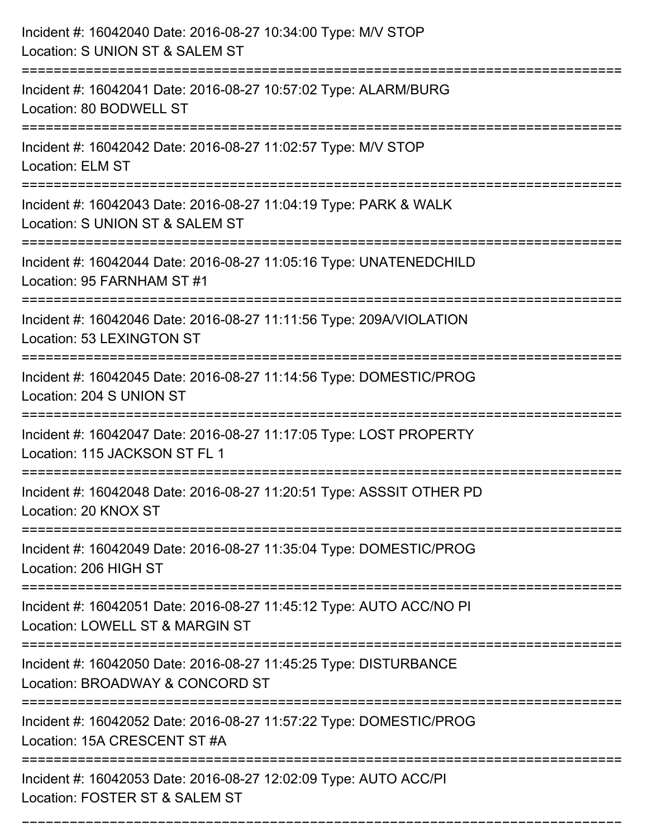| Incident #: 16042040 Date: 2016-08-27 10:34:00 Type: M/V STOP<br>Location: S UNION ST & SALEM ST       |
|--------------------------------------------------------------------------------------------------------|
| Incident #: 16042041 Date: 2016-08-27 10:57:02 Type: ALARM/BURG<br>Location: 80 BODWELL ST             |
| Incident #: 16042042 Date: 2016-08-27 11:02:57 Type: M/V STOP<br>Location: ELM ST                      |
| Incident #: 16042043 Date: 2016-08-27 11:04:19 Type: PARK & WALK<br>Location: S UNION ST & SALEM ST    |
| Incident #: 16042044 Date: 2016-08-27 11:05:16 Type: UNATENEDCHILD<br>Location: 95 FARNHAM ST #1       |
| Incident #: 16042046 Date: 2016-08-27 11:11:56 Type: 209A/VIOLATION<br>Location: 53 LEXINGTON ST       |
| Incident #: 16042045 Date: 2016-08-27 11:14:56 Type: DOMESTIC/PROG<br>Location: 204 S UNION ST         |
| Incident #: 16042047 Date: 2016-08-27 11:17:05 Type: LOST PROPERTY<br>Location: 115 JACKSON ST FL 1    |
| Incident #: 16042048 Date: 2016-08-27 11:20:51 Type: ASSSIT OTHER PD<br>Location: 20 KNOX ST           |
| Incident #: 16042049 Date: 2016-08-27 11:35:04 Type: DOMESTIC/PROG<br>Location: 206 HIGH ST            |
| Incident #: 16042051 Date: 2016-08-27 11:45:12 Type: AUTO ACC/NO PI<br>Location: LOWELL ST & MARGIN ST |
| Incident #: 16042050 Date: 2016-08-27 11:45:25 Type: DISTURBANCE<br>Location: BROADWAY & CONCORD ST    |
| Incident #: 16042052 Date: 2016-08-27 11:57:22 Type: DOMESTIC/PROG<br>Location: 15A CRESCENT ST #A     |
| Incident #: 16042053 Date: 2016-08-27 12:02:09 Type: AUTO ACC/PI<br>Location: FOSTER ST & SALEM ST     |

===========================================================================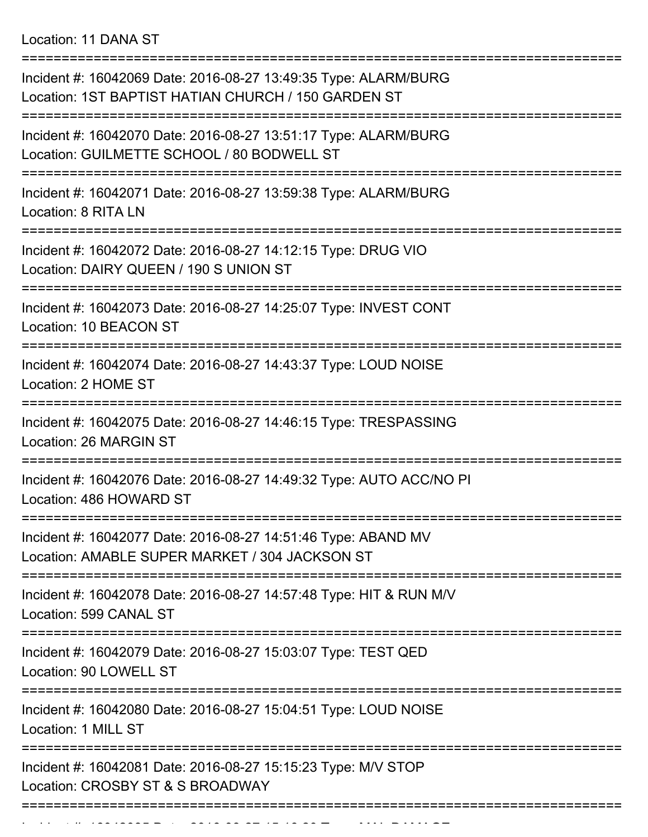Location: 11 DANA ST

| Incident #: 16042069 Date: 2016-08-27 13:49:35 Type: ALARM/BURG<br>Location: 1ST BAPTIST HATIAN CHURCH / 150 GARDEN ST |
|------------------------------------------------------------------------------------------------------------------------|
| Incident #: 16042070 Date: 2016-08-27 13:51:17 Type: ALARM/BURG<br>Location: GUILMETTE SCHOOL / 80 BODWELL ST          |
| Incident #: 16042071 Date: 2016-08-27 13:59:38 Type: ALARM/BURG<br>Location: 8 RITA LN                                 |
| Incident #: 16042072 Date: 2016-08-27 14:12:15 Type: DRUG VIO<br>Location: DAIRY QUEEN / 190 S UNION ST                |
| Incident #: 16042073 Date: 2016-08-27 14:25:07 Type: INVEST CONT<br>Location: 10 BEACON ST                             |
| Incident #: 16042074 Date: 2016-08-27 14:43:37 Type: LOUD NOISE<br>Location: 2 HOME ST                                 |
| Incident #: 16042075 Date: 2016-08-27 14:46:15 Type: TRESPASSING<br>Location: 26 MARGIN ST                             |
| Incident #: 16042076 Date: 2016-08-27 14:49:32 Type: AUTO ACC/NO PI<br>Location: 486 HOWARD ST                         |
| Incident #: 16042077 Date: 2016-08-27 14:51:46 Type: ABAND MV<br>Location: AMABLE SUPER MARKET / 304 JACKSON ST        |
| Incident #: 16042078 Date: 2016-08-27 14:57:48 Type: HIT & RUN M/V<br>Location: 599 CANAL ST                           |
| Incident #: 16042079 Date: 2016-08-27 15:03:07 Type: TEST QED<br>Location: 90 LOWELL ST                                |
| Incident #: 16042080 Date: 2016-08-27 15:04:51 Type: LOUD NOISE<br>Location: 1 MILL ST                                 |
| Incident #: 16042081 Date: 2016-08-27 15:15:23 Type: M/V STOP<br>Location: CROSBY ST & S BROADWAY                      |
|                                                                                                                        |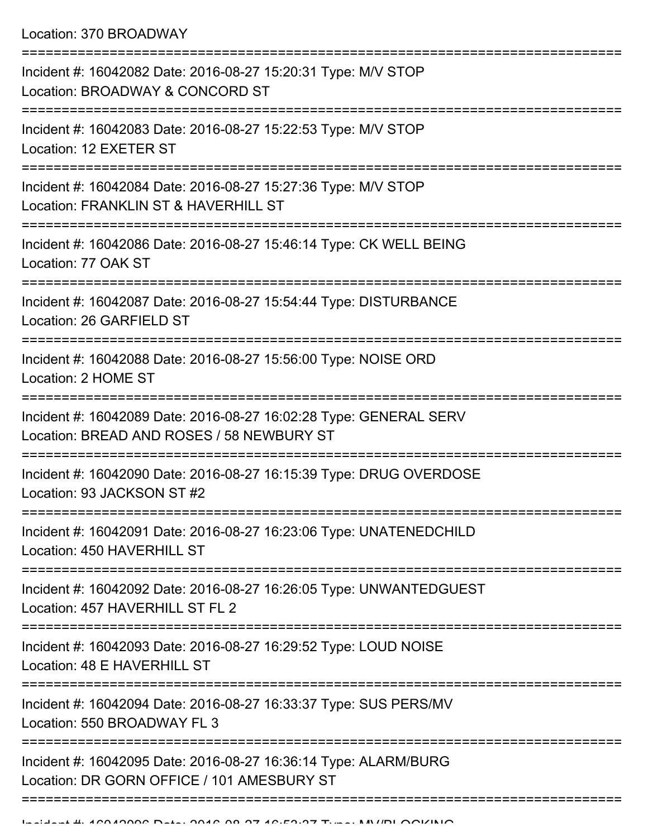Location: 370 BROADWAY

| Incident #: 16042082 Date: 2016-08-27 15:20:31 Type: M/V STOP<br>Location: BROADWAY & CONCORD ST               |
|----------------------------------------------------------------------------------------------------------------|
| Incident #: 16042083 Date: 2016-08-27 15:22:53 Type: M/V STOP<br>Location: 12 EXETER ST                        |
| Incident #: 16042084 Date: 2016-08-27 15:27:36 Type: M/V STOP<br>Location: FRANKLIN ST & HAVERHILL ST          |
| Incident #: 16042086 Date: 2016-08-27 15:46:14 Type: CK WELL BEING<br>Location: 77 OAK ST                      |
| Incident #: 16042087 Date: 2016-08-27 15:54:44 Type: DISTURBANCE<br>Location: 26 GARFIELD ST                   |
| Incident #: 16042088 Date: 2016-08-27 15:56:00 Type: NOISE ORD<br>Location: 2 HOME ST                          |
| Incident #: 16042089 Date: 2016-08-27 16:02:28 Type: GENERAL SERV<br>Location: BREAD AND ROSES / 58 NEWBURY ST |
| Incident #: 16042090 Date: 2016-08-27 16:15:39 Type: DRUG OVERDOSE<br>Location: 93 JACKSON ST #2               |
| Incident #: 16042091 Date: 2016-08-27 16:23:06 Type: UNATENEDCHILD<br>Location: 450 HAVERHILL ST               |
| Incident #: 16042092 Date: 2016-08-27 16:26:05 Type: UNWANTEDGUEST<br>Location: 457 HAVERHILL ST FL 2          |
| Incident #: 16042093 Date: 2016-08-27 16:29:52 Type: LOUD NOISE<br>Location: 48 E HAVERHILL ST                 |
| Incident #: 16042094 Date: 2016-08-27 16:33:37 Type: SUS PERS/MV<br>Location: 550 BROADWAY FL 3                |
| Incident #: 16042095 Date: 2016-08-27 16:36:14 Type: ALARM/BURG<br>Location: DR GORN OFFICE / 101 AMESBURY ST  |
|                                                                                                                |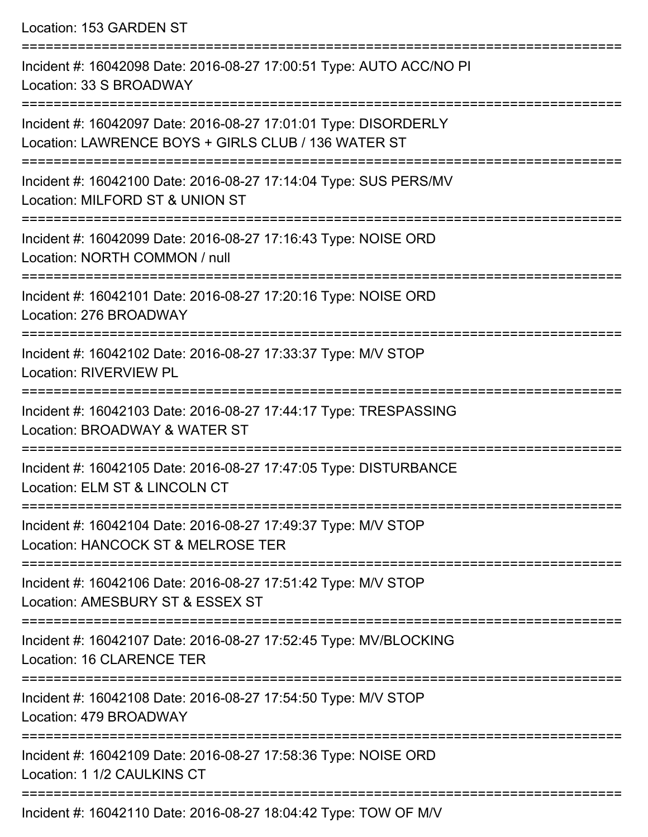Location: 153 GARDEN ST

=========================================================================== Incident #: 16042098 Date: 2016-08-27 17:00:51 Type: AUTO ACC/NO PI Location: 33 S BROADWAY =========================================================================== Incident #: 16042097 Date: 2016-08-27 17:01:01 Type: DISORDERLY Location: LAWRENCE BOYS + GIRLS CLUB / 136 WATER ST =========================================================================== Incident #: 16042100 Date: 2016-08-27 17:14:04 Type: SUS PERS/MV Location: MILFORD ST & UNION ST =========================================================================== Incident #: 16042099 Date: 2016-08-27 17:16:43 Type: NOISE ORD Location: NORTH COMMON / null =========================================================================== Incident #: 16042101 Date: 2016-08-27 17:20:16 Type: NOISE ORD Location: 276 BROADWAY =========================================================================== Incident #: 16042102 Date: 2016-08-27 17:33:37 Type: M/V STOP Location: RIVERVIEW PL =========================================================================== Incident #: 16042103 Date: 2016-08-27 17:44:17 Type: TRESPASSING Location: BROADWAY & WATER ST =========================================================================== Incident #: 16042105 Date: 2016-08-27 17:47:05 Type: DISTURBANCE Location: ELM ST & LINCOLN CT =========================================================================== Incident #: 16042104 Date: 2016-08-27 17:49:37 Type: M/V STOP Location: HANCOCK ST & MELROSE TER =========================================================================== Incident #: 16042106 Date: 2016-08-27 17:51:42 Type: M/V STOP Location: AMESBURY ST & ESSEX ST =========================================================================== Incident #: 16042107 Date: 2016-08-27 17:52:45 Type: MV/BLOCKING Location: 16 CLARENCE TER =========================================================================== Incident #: 16042108 Date: 2016-08-27 17:54:50 Type: M/V STOP Location: 479 BROADWAY =========================================================================== Incident #: 16042109 Date: 2016-08-27 17:58:36 Type: NOISE ORD Location: 1 1/2 CAULKINS CT =========================================================================== Incident #: 16042110 Date: 2016-08-27 18:04:42 Type: TOW OF M/V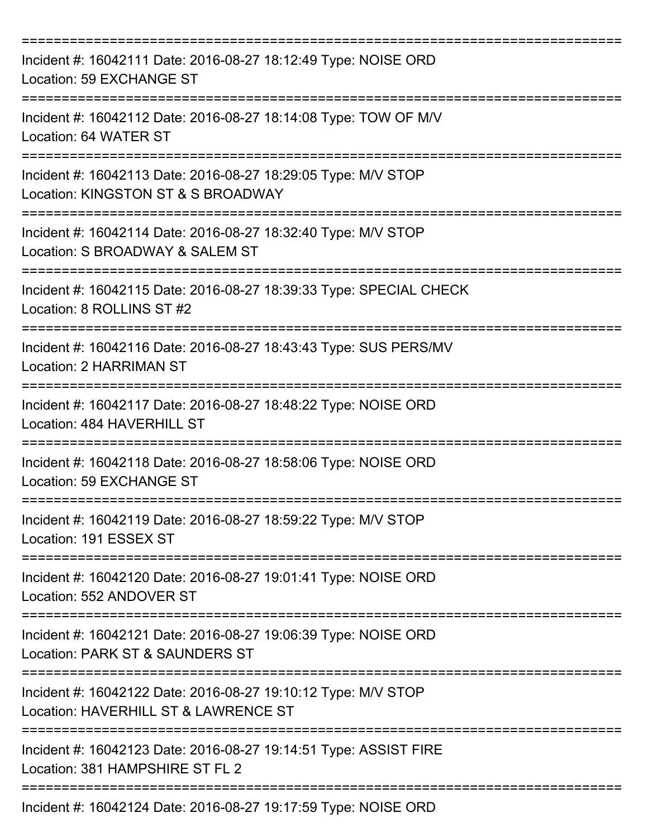| Incident #: 16042111 Date: 2016-08-27 18:12:49 Type: NOISE ORD<br>Location: 59 EXCHANGE ST            |
|-------------------------------------------------------------------------------------------------------|
| Incident #: 16042112 Date: 2016-08-27 18:14:08 Type: TOW OF M/V<br>Location: 64 WATER ST              |
| Incident #: 16042113 Date: 2016-08-27 18:29:05 Type: M/V STOP<br>Location: KINGSTON ST & S BROADWAY   |
| Incident #: 16042114 Date: 2016-08-27 18:32:40 Type: M/V STOP<br>Location: S BROADWAY & SALEM ST      |
| Incident #: 16042115 Date: 2016-08-27 18:39:33 Type: SPECIAL CHECK<br>Location: 8 ROLLINS ST #2       |
| Incident #: 16042116 Date: 2016-08-27 18:43:43 Type: SUS PERS/MV<br>Location: 2 HARRIMAN ST           |
| Incident #: 16042117 Date: 2016-08-27 18:48:22 Type: NOISE ORD<br>Location: 484 HAVERHILL ST          |
| Incident #: 16042118 Date: 2016-08-27 18:58:06 Type: NOISE ORD<br>Location: 59 EXCHANGE ST            |
| Incident #: 16042119 Date: 2016-08-27 18:59:22 Type: M/V STOP<br>Location: 191 ESSEX ST               |
| Incident #: 16042120 Date: 2016-08-27 19:01:41 Type: NOISE ORD<br>Location: 552 ANDOVER ST            |
| Incident #: 16042121 Date: 2016-08-27 19:06:39 Type: NOISE ORD<br>Location: PARK ST & SAUNDERS ST     |
| Incident #: 16042122 Date: 2016-08-27 19:10:12 Type: M/V STOP<br>Location: HAVERHILL ST & LAWRENCE ST |
| Incident #: 16042123 Date: 2016-08-27 19:14:51 Type: ASSIST FIRE<br>Location: 381 HAMPSHIRE ST FL 2   |
| Incident #: 16042124 Date: 2016-08-27 19:17:59 Type: NOISE ORD                                        |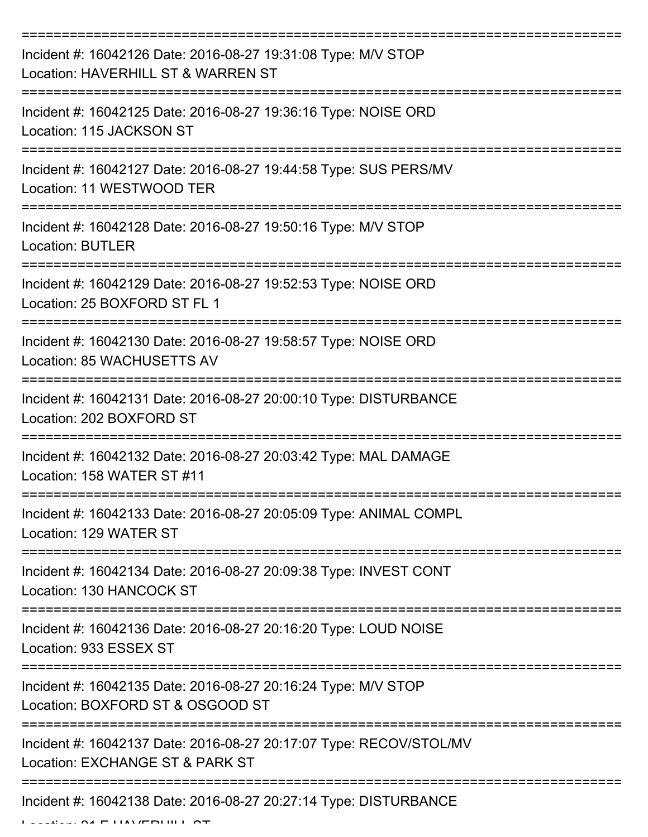| Incident #: 16042126 Date: 2016-08-27 19:31:08 Type: M/V STOP<br>Location: HAVERHILL ST & WARREN ST   |
|-------------------------------------------------------------------------------------------------------|
| Incident #: 16042125 Date: 2016-08-27 19:36:16 Type: NOISE ORD<br>Location: 115 JACKSON ST            |
| Incident #: 16042127 Date: 2016-08-27 19:44:58 Type: SUS PERS/MV<br>Location: 11 WESTWOOD TER         |
| Incident #: 16042128 Date: 2016-08-27 19:50:16 Type: M/V STOP<br><b>Location: BUTLER</b>              |
| Incident #: 16042129 Date: 2016-08-27 19:52:53 Type: NOISE ORD<br>Location: 25 BOXFORD ST FL 1        |
| Incident #: 16042130 Date: 2016-08-27 19:58:57 Type: NOISE ORD<br>Location: 85 WACHUSETTS AV          |
| Incident #: 16042131 Date: 2016-08-27 20:00:10 Type: DISTURBANCE<br>Location: 202 BOXFORD ST          |
| Incident #: 16042132 Date: 2016-08-27 20:03:42 Type: MAL DAMAGE<br>Location: 158 WATER ST #11         |
| Incident #: 16042133 Date: 2016-08-27 20:05:09 Type: ANIMAL COMPL<br>Location: 129 WATER ST           |
| Incident #: 16042134 Date: 2016-08-27 20:09:38 Type: INVEST CONT<br>Location: 130 HANCOCK ST          |
| Incident #: 16042136 Date: 2016-08-27 20:16:20 Type: LOUD NOISE<br>Location: 933 ESSEX ST             |
| Incident #: 16042135 Date: 2016-08-27 20:16:24 Type: M/V STOP<br>Location: BOXFORD ST & OSGOOD ST     |
| Incident #: 16042137 Date: 2016-08-27 20:17:07 Type: RECOV/STOL/MV<br>Location: EXCHANGE ST & PARK ST |
| Incident #: 16042138 Date: 2016-08-27 20:27:14 Type: DISTURBANCE                                      |

 $L = L$ Location: 21 E HAVERHILL ST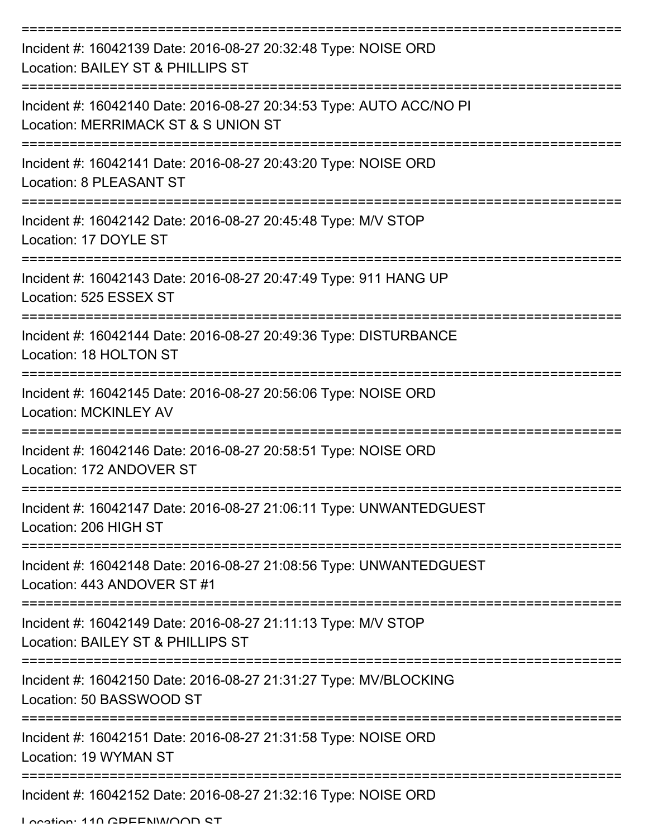| Incident #: 16042139 Date: 2016-08-27 20:32:48 Type: NOISE ORD<br>Location: BAILEY ST & PHILLIPS ST        |
|------------------------------------------------------------------------------------------------------------|
| Incident #: 16042140 Date: 2016-08-27 20:34:53 Type: AUTO ACC/NO PI<br>Location: MERRIMACK ST & S UNION ST |
| Incident #: 16042141 Date: 2016-08-27 20:43:20 Type: NOISE ORD<br><b>Location: 8 PLEASANT ST</b>           |
| Incident #: 16042142 Date: 2016-08-27 20:45:48 Type: M/V STOP<br>Location: 17 DOYLE ST                     |
| Incident #: 16042143 Date: 2016-08-27 20:47:49 Type: 911 HANG UP<br>Location: 525 ESSEX ST                 |
| Incident #: 16042144 Date: 2016-08-27 20:49:36 Type: DISTURBANCE<br>Location: 18 HOLTON ST                 |
| Incident #: 16042145 Date: 2016-08-27 20:56:06 Type: NOISE ORD<br><b>Location: MCKINLEY AV</b>             |
| Incident #: 16042146 Date: 2016-08-27 20:58:51 Type: NOISE ORD<br>Location: 172 ANDOVER ST                 |
| Incident #: 16042147 Date: 2016-08-27 21:06:11 Type: UNWANTEDGUEST<br>Location: 206 HIGH ST                |
| Incident #: 16042148 Date: 2016-08-27 21:08:56 Type: UNWANTEDGUEST<br>Location: 443 ANDOVER ST #1          |
| Incident #: 16042149 Date: 2016-08-27 21:11:13 Type: M/V STOP<br>Location: BAILEY ST & PHILLIPS ST         |
| Incident #: 16042150 Date: 2016-08-27 21:31:27 Type: MV/BLOCKING<br>Location: 50 BASSWOOD ST               |
| Incident #: 16042151 Date: 2016-08-27 21:31:58 Type: NOISE ORD<br>Location: 19 WYMAN ST                    |
| Incident #: 16042152 Date: 2016-08-27 21:32:16 Type: NOISE ORD                                             |

Location: 110 GREENWOOD ST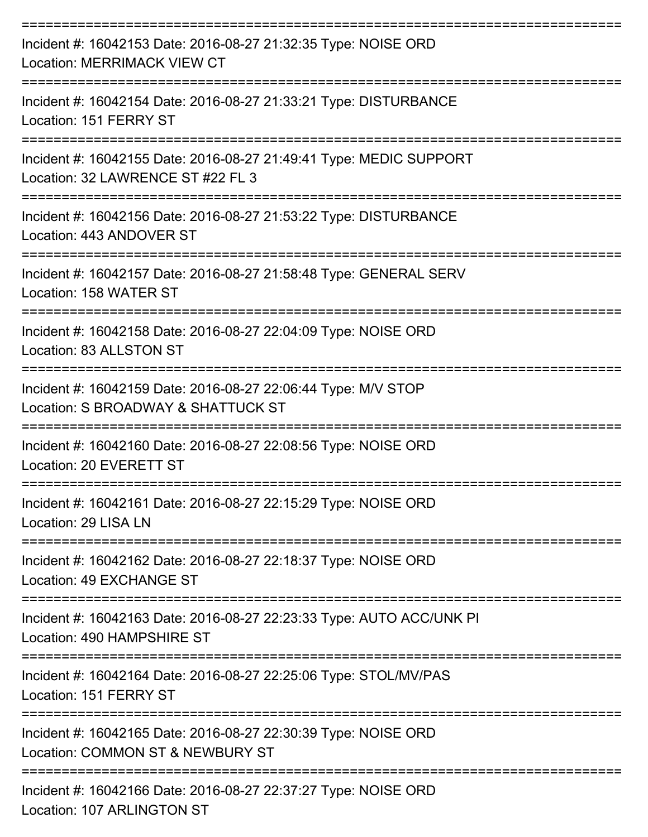| Incident #: 16042153 Date: 2016-08-27 21:32:35 Type: NOISE ORD<br>Location: MERRIMACK VIEW CT           |
|---------------------------------------------------------------------------------------------------------|
| Incident #: 16042154 Date: 2016-08-27 21:33:21 Type: DISTURBANCE<br>Location: 151 FERRY ST              |
| Incident #: 16042155 Date: 2016-08-27 21:49:41 Type: MEDIC SUPPORT<br>Location: 32 LAWRENCE ST #22 FL 3 |
| Incident #: 16042156 Date: 2016-08-27 21:53:22 Type: DISTURBANCE<br>Location: 443 ANDOVER ST            |
| Incident #: 16042157 Date: 2016-08-27 21:58:48 Type: GENERAL SERV<br>Location: 158 WATER ST             |
| Incident #: 16042158 Date: 2016-08-27 22:04:09 Type: NOISE ORD<br>Location: 83 ALLSTON ST               |
| Incident #: 16042159 Date: 2016-08-27 22:06:44 Type: M/V STOP<br>Location: S BROADWAY & SHATTUCK ST     |
| Incident #: 16042160 Date: 2016-08-27 22:08:56 Type: NOISE ORD<br>Location: 20 EVERETT ST               |
| Incident #: 16042161 Date: 2016-08-27 22:15:29 Type: NOISE ORD<br>Location: 29 LISA LN                  |
| Incident #: 16042162 Date: 2016-08-27 22:18:37 Type: NOISE ORD<br>Location: 49 EXCHANGE ST              |
| Incident #: 16042163 Date: 2016-08-27 22:23:33 Type: AUTO ACC/UNK PI<br>Location: 490 HAMPSHIRE ST      |
| Incident #: 16042164 Date: 2016-08-27 22:25:06 Type: STOL/MV/PAS<br>Location: 151 FERRY ST              |
| Incident #: 16042165 Date: 2016-08-27 22:30:39 Type: NOISE ORD<br>Location: COMMON ST & NEWBURY ST      |
| Incident #: 16042166 Date: 2016-08-27 22:37:27 Type: NOISE ORD                                          |

Location: 107 ARLINGTON ST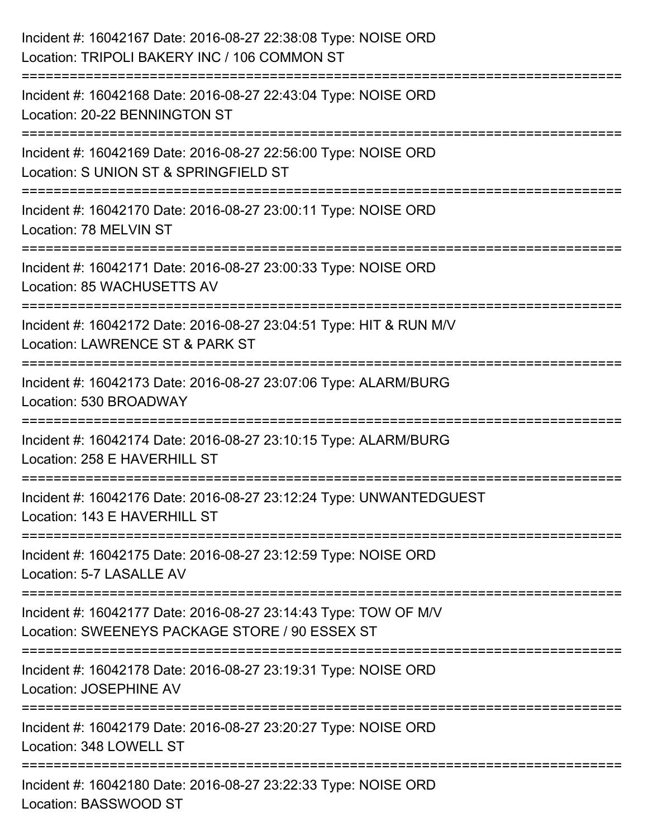| Incident #: 16042167 Date: 2016-08-27 22:38:08 Type: NOISE ORD<br>Location: TRIPOLI BAKERY INC / 106 COMMON ST                  |
|---------------------------------------------------------------------------------------------------------------------------------|
| ===================<br>Incident #: 16042168 Date: 2016-08-27 22:43:04 Type: NOISE ORD<br>Location: 20-22 BENNINGTON ST          |
| Incident #: 16042169 Date: 2016-08-27 22:56:00 Type: NOISE ORD<br>Location: S UNION ST & SPRINGFIELD ST<br>==================== |
| Incident #: 16042170 Date: 2016-08-27 23:00:11 Type: NOISE ORD<br>Location: 78 MELVIN ST                                        |
| Incident #: 16042171 Date: 2016-08-27 23:00:33 Type: NOISE ORD<br>Location: 85 WACHUSETTS AV                                    |
| Incident #: 16042172 Date: 2016-08-27 23:04:51 Type: HIT & RUN M/V<br>Location: LAWRENCE ST & PARK ST                           |
| Incident #: 16042173 Date: 2016-08-27 23:07:06 Type: ALARM/BURG<br>Location: 530 BROADWAY                                       |
| Incident #: 16042174 Date: 2016-08-27 23:10:15 Type: ALARM/BURG<br>Location: 258 E HAVERHILL ST                                 |
| Incident #: 16042176 Date: 2016-08-27 23:12:24 Type: UNWANTEDGUEST<br>Location: 143 E HAVERHILL ST                              |
| Incident #: 16042175 Date: 2016-08-27 23:12:59 Type: NOISE ORD<br>Location: 5-7 LASALLE AV                                      |
| Incident #: 16042177 Date: 2016-08-27 23:14:43 Type: TOW OF M/V<br>Location: SWEENEYS PACKAGE STORE / 90 ESSEX ST               |
| Incident #: 16042178 Date: 2016-08-27 23:19:31 Type: NOISE ORD<br>Location: JOSEPHINE AV                                        |
| Incident #: 16042179 Date: 2016-08-27 23:20:27 Type: NOISE ORD<br>Location: 348 LOWELL ST                                       |
| Incident #: 16042180 Date: 2016-08-27 23:22:33 Type: NOISE ORD<br>Location: BASSWOOD ST                                         |